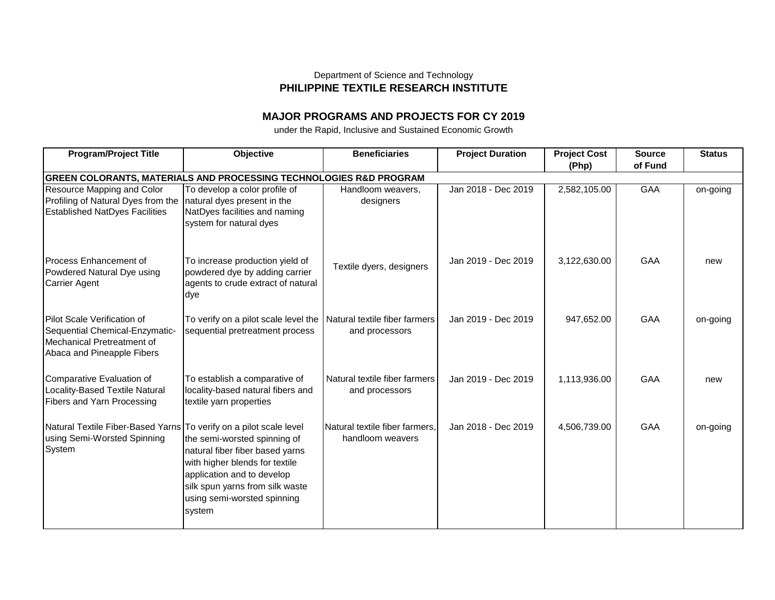## Department of Science and Technology **PHILIPPINE TEXTILE RESEARCH INSTITUTE**

## **MAJOR PROGRAMS AND PROJECTS FOR CY 2019**

under the Rapid, Inclusive and Sustained Economic Growth

| <b>Program/Project Title</b>                                                                                              | <b>Objective</b>                                                                                                                                                                                            | <b>Beneficiaries</b>                               | <b>Project Duration</b> | <b>Project Cost</b> | <b>Source</b> | <b>Status</b> |  |  |
|---------------------------------------------------------------------------------------------------------------------------|-------------------------------------------------------------------------------------------------------------------------------------------------------------------------------------------------------------|----------------------------------------------------|-------------------------|---------------------|---------------|---------------|--|--|
|                                                                                                                           |                                                                                                                                                                                                             |                                                    |                         | (Php)               | of Fund       |               |  |  |
| GREEN COLORANTS, MATERIALS AND PROCESSING TECHNOLOGIES R&D PROGRAM                                                        |                                                                                                                                                                                                             |                                                    |                         |                     |               |               |  |  |
| Resource Mapping and Color                                                                                                | To develop a color profile of                                                                                                                                                                               | Handloom weavers,                                  | Jan 2018 - Dec 2019     | 2,582,105.00        | <b>GAA</b>    | on-going      |  |  |
| Profiling of Natural Dyes from the                                                                                        | natural dyes present in the                                                                                                                                                                                 | designers                                          |                         |                     |               |               |  |  |
| <b>Established NatDyes Facilities</b>                                                                                     | NatDyes facilities and naming<br>system for natural dyes                                                                                                                                                    |                                                    |                         |                     |               |               |  |  |
| Process Enhancement of<br>Powdered Natural Dye using                                                                      | To increase production yield of<br>powdered dye by adding carrier                                                                                                                                           | Textile dyers, designers                           | Jan 2019 - Dec 2019     | 3,122,630.00        | GAA           | new           |  |  |
| <b>Carrier Agent</b>                                                                                                      | agents to crude extract of natural<br>dye                                                                                                                                                                   |                                                    |                         |                     |               |               |  |  |
| Pilot Scale Verification of<br>Sequential Chemical-Enzymatic-<br>Mechanical Pretreatment of<br>Abaca and Pineapple Fibers | To verify on a pilot scale level the<br>sequential pretreatment process                                                                                                                                     | Natural textile fiber farmers<br>and processors    | Jan 2019 - Dec 2019     | 947,652.00          | GAA           | on-going      |  |  |
| Comparative Evaluation of<br>Locality-Based Textile Natural<br>Fibers and Yarn Processing                                 | To establish a comparative of<br>locality-based natural fibers and<br>textile yarn properties                                                                                                               | Natural textile fiber farmers<br>and processors    | Jan 2019 - Dec 2019     | 1,113,936.00        | GAA           | new           |  |  |
| Natural Textile Fiber-Based Yarns To verify on a pilot scale level<br>using Semi-Worsted Spinning<br>System               | the semi-worsted spinning of<br>natural fiber fiber based yarns<br>with higher blends for textile<br>application and to develop<br>silk spun yarns from silk waste<br>using semi-worsted spinning<br>system | Natural textile fiber farmers,<br>handloom weavers | Jan 2018 - Dec 2019     | 4,506,739.00        | <b>GAA</b>    | on-going      |  |  |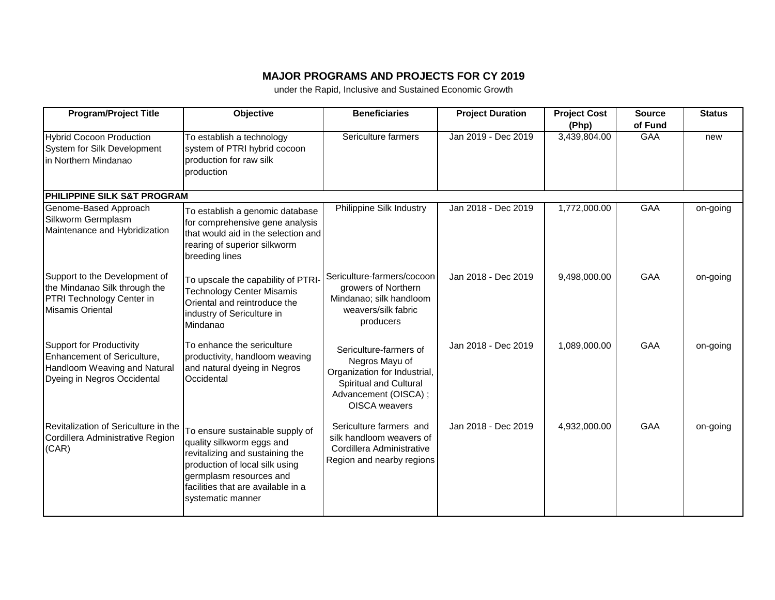## **MAJOR PROGRAMS AND PROJECTS FOR CY 2019**

under the Rapid, Inclusive and Sustained Economic Growth

| <b>Program/Project Title</b>                                                                                                         | <b>Objective</b>                                                                                                                                                                                                        | <b>Beneficiaries</b>                                                                                                                               | <b>Project Duration</b> | <b>Project Cost</b><br>(Php) | <b>Source</b><br>of Fund | <b>Status</b> |
|--------------------------------------------------------------------------------------------------------------------------------------|-------------------------------------------------------------------------------------------------------------------------------------------------------------------------------------------------------------------------|----------------------------------------------------------------------------------------------------------------------------------------------------|-------------------------|------------------------------|--------------------------|---------------|
| <b>Hybrid Cocoon Production</b><br>System for Silk Development<br>in Northern Mindanao                                               | To establish a technology<br>system of PTRI hybrid cocoon<br>production for raw silk<br>production                                                                                                                      | Sericulture farmers                                                                                                                                | Jan 2019 - Dec 2019     | 3,439,804.00                 | <b>GAA</b>               | new           |
| <b>PHILIPPINE SILK S&amp;T PROGRAM</b>                                                                                               |                                                                                                                                                                                                                         |                                                                                                                                                    |                         |                              |                          |               |
| Genome-Based Approach<br>Silkworm Germplasm<br>Maintenance and Hybridization                                                         | To establish a genomic database<br>for comprehensive gene analysis<br>that would aid in the selection and<br>rearing of superior silkworm<br>breeding lines                                                             | Philippine Silk Industry                                                                                                                           | Jan 2018 - Dec 2019     | 1,772,000.00                 | GAA                      | on-going      |
| Support to the Development of<br>the Mindanao Silk through the<br>PTRI Technology Center in<br>Misamis Oriental                      | To upscale the capability of PTRI-<br><b>Technology Center Misamis</b><br>Oriental and reintroduce the<br>industry of Sericulture in<br>Mindanao                                                                        | Sericulture-farmers/cocoon<br>growers of Northern<br>Mindanao; silk handloom<br>weavers/silk fabric<br>producers                                   | Jan 2018 - Dec 2019     | 9,498,000.00                 | GAA                      | on-going      |
| <b>Support for Productivity</b><br><b>Enhancement of Sericulture,</b><br>Handloom Weaving and Natural<br>Dyeing in Negros Occidental | To enhance the sericulture<br>productivity, handloom weaving<br>and natural dyeing in Negros<br>Occidental                                                                                                              | Sericulture-farmers of<br>Negros Mayu of<br>Organization for Industrial,<br>Spiritual and Cultural<br>Advancement (OISCA);<br><b>OISCA</b> weavers | Jan 2018 - Dec 2019     | 1,089,000.00                 | <b>GAA</b>               | on-going      |
| Revitalization of Sericulture in the<br>Cordillera Administrative Region<br>(CAR)                                                    | To ensure sustainable supply of<br>quality silkworm eggs and<br>revitalizing and sustaining the<br>production of local silk using<br>germplasm resources and<br>facilities that are available in a<br>systematic manner | Sericulture farmers and<br>silk handloom weavers of<br>Cordillera Administrative<br>Region and nearby regions                                      | Jan 2018 - Dec 2019     | 4,932,000.00                 | GAA                      | on-going      |